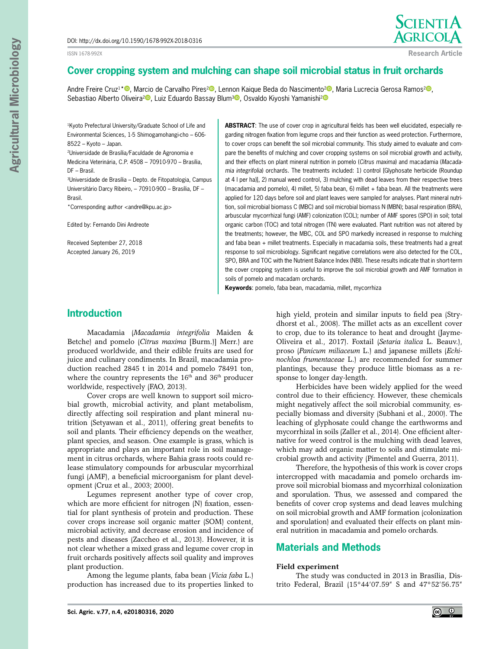#### ISSN 1678-992X



**Research Article**

# **Cover cropping system and mulching can shape soil microbial status in fruit orchards**

Andre Freire Cruz<sup>1\* ®</sup>[,](https://orcid.org/0000-0003-2874-8398) Marcio de Carvalho Pires<sup>[2](https://orcid.org/0000-0002-4516-7352)®</sup>, Lennon Kaique Beda do Nascimento<sup>2®</sup>, Maria Lucrecia Gerosa Ramos<sup>2®</sup>, Sebastiao Alberto Oliveira<sup>2</sup><sup>0</sup>[,](https://orcid.org/0000-0003-4547-5563) Luiz Eduardo Bassay Blum<sup>[3](https://orcid.org/0000-0002-3968-6615)</sup><sup>0</sup>, Osvaldo Kiyoshi Yamanishi<sup>[2](https://orcid.org/0000-0002-2685-0973)</sup><sup>0</sup>

<sup>1</sup>Kyoto Prefectural University/Graduate School of Life and Environmental Sciences, 1-5 Shimogamohangi-cho – 606- 8522 – Kyoto – Japan.

2Universidade de Brasília/Faculdade de Agronomia e Medicina Veterinária, C.P. 4508 – 70910-970 – Brasília, DF – Brasil.

3Universidade de Brasília – Depto. de Fitopatologia, Campus Universitário Darcy Ribeiro, – 70910-900 – Brasília, DF – Brasil.

\*Corresponding author <andre@kpu.ac.jp>

Edited by: Fernando Dini Andreote

Received September 27, 2018 Accepted January 26, 2019

## **ABSTRACT**: The use of cover crop in agricultural fields has been well elucidated, especially regarding nitrogen fixation from legume crops and their function as weed protection. Furthermore, to cover crops can benefit the soil microbial community. This study aimed to evaluate and compare the benefits of mulching and cover cropping systems on soil microbial growth and activity, and their effects on plant mineral nutrition in pomelo (*Citrus maxima*) and macadamia (*Macadamia integrifolia*) orchards. The treatments included: 1) control [Glyphosate herbicide (Roundup at 4 l per ha)], 2) manual weed control, 3) mulching with dead leaves from their respective trees (macadamia and pomelo), 4) millet, 5) faba bean, 6) millet + faba bean. All the treatments were applied for 120 days before soil and plant leaves were sampled for analyses. Plant mineral nutrition, soil microbial biomass C (MBC) and soil microbial biomass N (MBN); basal respiration (BRA), arbuscular mycorrhizal fungi (AMF) colonization (COL); number of AMF spores (SPO) in soil; total organic carbon (TOC) and total nitrogen (TN) were evaluated. Plant nutrition was not altered by the treatments; however, the MBC, COL and SPO markedly increased in response to mulching and faba bean + millet treatments. Especially in macadamia soils, these treatments had a great response to soil microbiology. Significant negative correlations were also detected for the COL, SPO, BRA and TOC with the Nutrient Balance Index (NBI). These results indicate that in short-term the cover cropping system is useful to improve the soil microbial growth and AMF formation in soils of pomelo and macadam orchards.

**Keywords**: pomelo, faba bean, macadamia, millet, mycorrhiza

## **Introduction**

Macadamia (*Macadamia integrifolia* Maiden & Betche) and pomelo (*Citrus maxima* [Burm.)] Merr.) are produced worldwide, and their edible fruits are used for juice and culinary condiments. In Brazil, macadamia production reached 2845 t in 2014 and pomelo 78491 ton, where the country represents the 16<sup>th</sup> and 36<sup>th</sup> producer worldwide, respectively (FAO, 2013).

Cover crops are well known to support soil microbial growth, microbial activity, and plant metabolism, directly affecting soil respiration and plant mineral nutrition (Setyawan et al., 2011), offering great benefits to soil and plants. Their efficiency depends on the weather, plant species, and season. One example is grass, which is appropriate and plays an important role in soil management in citrus orchards, where Bahia grass roots could release stimulatory compounds for arbuscular mycorrhizal fungi (AMF), a beneficial microorganism for plant development (Cruz et al., 2003; 2000).

Legumes represent another type of cover crop, which are more efficient for nitrogen (N) fixation, essential for plant synthesis of protein and production. These cover crops increase soil organic matter (SOM) content, microbial activity, and decrease erosion and incidence of pests and diseases (Zaccheo et al., 2013). However, it is not clear whether a mixed grass and legume cover crop in fruit orchards positively affects soil quality and improves plant production.

Among the legume plants, faba bean (*Vicia faba* L.) production has increased due to its properties linked to high yield, protein and similar inputs to field pea (Strydhorst et al., 2008). The millet acts as an excellent cover to crop, due to its tolerance to heat and drought (Jayme-Oliveira et al., 2017). Foxtail (*Setaria italica* L. Beauv.), proso (*Panicum miliaceum* L.) and japanese millets (*Echinochloa frumentaceae* L.) are recommended for summer plantings, because they produce little biomass as a response to longer day-length.

Herbicides have been widely applied for the weed control due to their efficiency. However, these chemicals might negatively affect the soil microbial community, especially biomass and diversity (Subhani et al., 2000). The leaching of glyphosate could change the earthworms and mycorrhizal in soils (Zaller et al., 2014). One efficient alternative for weed control is the mulching with dead leaves, which may add organic matter to soils and stimulate microbial growth and activity (Pimentel and Guerra, 2011).

Therefore, the hypothesis of this work is cover crops intercropped with macadamia and pomelo orchards improve soil microbial biomass and mycorrhizal colonization and sporulation. Thus, we assessed and compared the benefits of cover crop systems and dead leaves mulching on soil microbial growth and AMF formation (colonization and sporulation) and evaluated their effects on plant mineral nutrition in macadamia and pomelo orchards.

# **Materials and Methods**

### **Field experiment**

The study was conducted in 2013 in Brasília, Distrito Federal, Brazil (15°44'07.59" S and 47°52'56.75"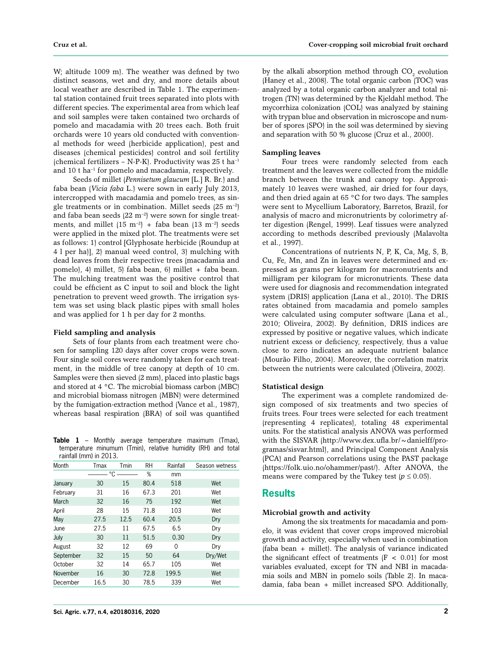W; altitude 1009 m). The weather was defined by two distinct seasons, wet and dry, and more details about local weather are described in Table 1. The experimental station contained fruit trees separated into plots with different species. The experimental area from which leaf and soil samples were taken contained two orchards of pomelo and macadamia with 20 trees each. Both fruit orchards were 10 years old conducted with conventional methods for weed (herbicide application), pest and diseases (chemical pesticides) control and soil fertility (chemical fertilizers – N-P-K). Productivity was 25 t ha–1 and 10 t ha–1 for pomelo and macadamia, respectively.

Seeds of millet (*Pennisetum glaucum* [L.] R. Br.) and faba bean (*Vicia faba* L.) were sown in early July 2013, intercropped with macadamia and pomelo trees, as single treatments or in combination. Millet seeds  $(25 \text{ m}^{-2})$ and faba bean seeds  $(22 \text{ m}^{-2})$  were sown for single treatments, and millet  $(15 \text{ m}^{-2})$  + faba bean  $(13 \text{ m}^{-2})$  seeds were applied in the mixed plot. The treatments were set as follows: 1) control [Glyphosate herbicide (Roundup at 4 l per ha)], 2) manual weed control, 3) mulching with dead leaves from their respective trees (macadamia and pomelo), 4) millet, 5) faba bean, 6) millet + faba bean. The mulching treatment was the positive control that could be efficient as C input to soil and block the light penetration to prevent weed growth. The irrigation system was set using black plastic pipes with small holes and was applied for 1 h per day for 2 months.

### **Field sampling and analysis**

Sets of four plants from each treatment were chosen for sampling 120 days after cover crops were sown. Four single soil cores were randomly taken for each treatment, in the middle of tree canopy at depth of 10 cm. Samples were then sieved (2 mm), placed into plastic bags and stored at 4 °C. The microbial biomass carbon (MBC) and microbial biomass nitrogen (MBN) were determined by the fumigation-extraction method (Vance et al., 1987), whereas basal respiration (BRA) of soil was quantified

**Table 1** – Monthly average temperature maximum (Tmax), temperature minumum (Tmin), relative humidity (RH) and total rainfall (mm) in 2013.

| Month     | Tmin<br>Tmax |      | <b>RH</b> | Rainfall | Season wetness |
|-----------|--------------|------|-----------|----------|----------------|
|           | °C           |      | %         | mm       |                |
| January   | 30           | 15   | 80.4      | 518      | Wet            |
| February  | 31           | 16   | 67.3      | 201      | Wet            |
| March     | 32           | 16   | 75        | 192      | Wet            |
| April     | 28           | 15   | 71.8      | 103      | Wet            |
| May       | 27.5         | 12.5 | 60.4      | 20.5     | Dry            |
| June      | 27.5         | 11   | 67.5      | 6.5      | Dry            |
| July      | 30           | 11   | 51.5      | 0.30     | Dry            |
| August    | 32           | 12   | 69        | 0        | Dry            |
| September | 32           | 15   | 50        | 64       | Dry/Wet        |
| October   | 32           | 14   | 65.7      | 105      | Wet            |
| November  | 16           | 30   | 72.8      | 199.5    | Wet            |
| December  | 16.5         | 30   | 78.5      | 339      | Wet            |

by the alkali absorption method through  $\mathrm{CO}_2$  evolution (Haney et al., 2008). The total organic carbon (TOC) was analyzed by a total organic carbon analyzer and total nitrogen (TN) was determined by the Kjeldahl method. The mycorrhiza colonization (COL) was analyzed by staining with trypan blue and observation in microscope and number of spores (SPO) in the soil was determined by sieving and separation with 50 % glucose (Cruz et al., 2000).

### **Sampling leaves**

Four trees were randomly selected from each treatment and the leaves were collected from the middle branch between the trunk and canopy top. Approximately 10 leaves were washed, air dried for four days, and then dried again at 65 °C for two days. The samples were sent to Mycellium Laboratory, Barretos, Brazil, for analysis of macro and micronutrients by colorimetry after digestion (Rengel, 1999). Leaf tissues were analyzed according to methods described previously (Malavolta et al., 1997).

Concentrations of nutrients N, P, K, Ca, Mg, S, B, Cu, Fe, Mn, and Zn in leaves were determined and expressed as grams per kilogram for macronutrients and milligram per kilogram for micronutrients. These data were used for diagnosis and recommendation integrated system (DRIS) application (Lana et al., 2010). The DRIS rates obtained from macadamia and pomelo samples were calculated using computer software (Lana et al., 2010; Oliveira, 2002). By definition, DRIS indices are expressed by positive or negative values, which indicate nutrient excess or deficiency, respectively, thus a value close to zero indicates an adequate nutrient balance (Mourão Filho, 2004). Moreover, the correlation matrix between the nutrients were calculated (Oliveira, 2002).

#### **Statistical design**

The experiment was a complete randomized design composed of six treatments and two species of fruits trees. Four trees were selected for each treatment (representing 4 replicates), totaling 48 experimental units. For the statistical analysis ANOVA was performed with the SISVAR (http://www.dex.ufla.br/~danielff/programas/sisvar.html), and Principal Component Analysis (PCA) and Pearson correlations using the PAST package (https://folk.uio.no/ohammer/past/). After ANOVA, the means were compared by the Tukey test  $(p \le 0.05)$ .

## **Results**

### **Microbial growth and activity**

Among the six treatments for macadamia and pomelo, it was evident that cover crops improved microbial growth and activity, especially when used in combination (faba bean + millet). The analysis of variance indicated the significant effect of treatments  $|F| < 0.01$  for most variables evaluated, except for TN and NBI in macadamia soils and MBN in pomelo soils (Table 2). In macadamia, faba bean + millet increased SPO. Additionally,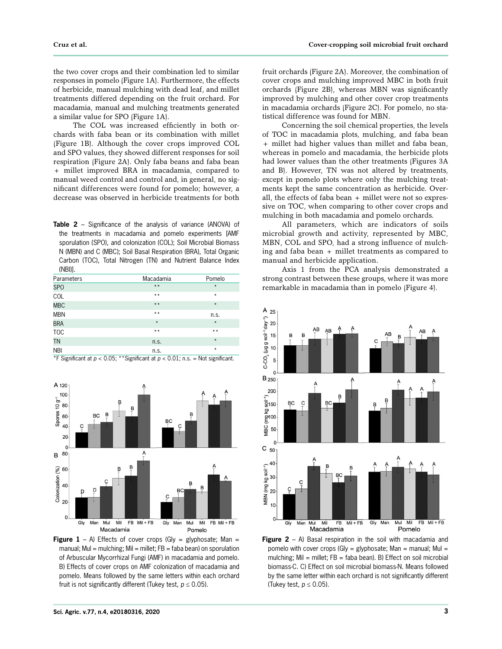the two cover crops and their combination led to similar responses in pomelo (Figure 1A). Furthermore, the effects of herbicide, manual mulching with dead leaf, and millet treatments differed depending on the fruit orchard. For macadamia, manual and mulching treatments generated a similar value for SPO (Figure 1A).

The COL was increased efficiently in both orchards with faba bean or its combination with millet (Figure 1B). Although the cover crops improved COL and SPO values, they showed different responses for soil respiration (Figure 2A). Only faba beans and faba bean + millet improved BRA in macadamia, compared to manual weed control and control and, in general, no significant differences were found for pomelo; however, a decrease was observed in herbicide treatments for both

**Table 2** – Significance of the analysis of variance (ANOVA) of the treatments in macadamia and pomelo experiments [AMF sporulation (SPO), and colonization (COL); Soil Microbial Biomass N (MBN) and C (MBC); Soil Basal Respiration (BRA), Total Organic Carbon (TOC), Total Nitrogen (TN) and Nutrient Balance Index (NBI)].

| Parameters | Macadamia | Pomelo  |
|------------|-----------|---------|
| <b>SPO</b> | $* *$     | $\star$ |
| COL        | $* *$     | $\star$ |
| <b>MBC</b> | $* *$     | $\star$ |
| <b>MBN</b> | $* *$     | n.s.    |
| <b>BRA</b> | $\star$   | $\star$ |
| <b>TOC</b> | $* *$     | $* *$   |
| <b>TN</b>  | n.s.      | $\star$ |
| <b>NBI</b> | n.s.      | $\star$ |



 $*F$  Significant at  $p < 0.05$ ; \*\*Significant at  $p < 0.01$ ; n.s. = Not significant.

fruit orchards (Figure 2A). Moreover, the combination of cover crops and mulching improved MBC in both fruit orchards (Figure 2B), whereas MBN was significantly improved by mulching and other cover crop treatments in macadamia orchards (Figure 2C). For pomelo, no statistical difference was found for MBN.

Concerning the soil chemical properties, the levels of TOC in macadamia plots, mulching, and faba bean + millet had higher values than millet and faba bean, whereas in pomelo and macadamia, the herbicide plots had lower values than the other treatments (Figures 3A and B). However, TN was not altered by treatments, except in pomelo plots where only the mulching treatments kept the same concentration as herbicide. Overall, the effects of faba bean + millet were not so expressive on TOC, when comparing to other cover crops and mulching in both macadamia and pomelo orchards.

All parameters, which are indicators of soils microbial growth and activity, represented by MBC, MBN, COL and SPO, had a strong influence of mulching and faba bean + millet treatments as compared to manual and herbicide application.

Axis 1 from the PCA analysis demonstrated a strong contrast between these groups, where it was more remarkable in macadamia than in pomelo (Figure 4).



**Figure 2** – A) Basal respiration in the soil with macadamia and pomelo with cover crops (Gly = glyphosate; Man = manual; Mul = mulching; Mil = millet; FB = faba bean). B) Effect on soil microbial biomass-C. C) Effect on soil microbial biomass-N. Means followed by the same letter within each orchard is not significantly different (Tukey test,  $p \leq 0.05$ ).

**Figure 1** – A) Effects of cover crops (Gly = glyphosate; Man = manual; Mul = mulching; Mil = millet;  $FB =$  faba bean) on sporulation of Arbuscular Mycorrhizal Fungi (AMF) in macadamia and pomelo. B) Effects of cover crops on AMF colonization of macadamia and pomelo. Means followed by the same letters within each orchard fruit is not significantly different (Tukey test,  $p \le 0.05$ ).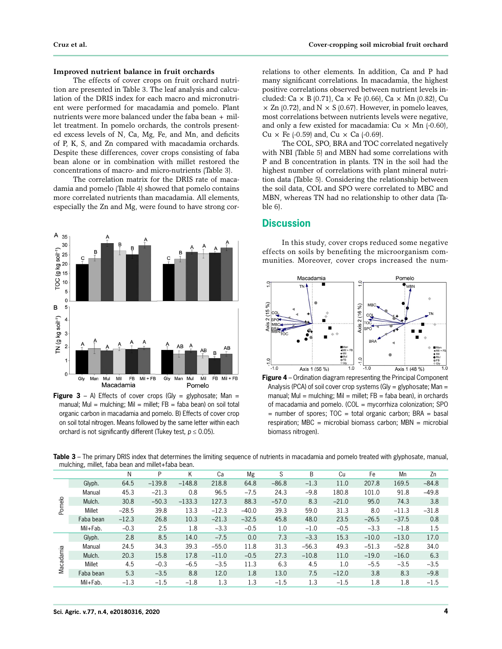### **Improved nutrient balance in fruit orchards**

The effects of cover crops on fruit orchard nutrition are presented in Table 3. The leaf analysis and calculation of the DRIS index for each macro and micronutrient were performed for macadamia and pomelo. Plant nutrients were more balanced under the faba bean + millet treatment. In pomelo orchards, the controls presented excess levels of N, Ca, Mg, Fe, and Mn, and deficits of P, K, S, and Zn compared with macadamia orchards. Despite these differences, cover crops consisting of faba bean alone or in combination with millet restored the concentrations of macro- and micro-nutrients (Table 3).

The correlation matrix for the DRIS rate of macadamia and pomelo (Table 4) showed that pomelo contains more correlated nutrients than macadamia. All elements, especially the Zn and Mg, were found to have strong cor-



**Figure 3** – A) Effects of cover crops (Gly = glyphosate; Man = manual; Mul = mulching; Mil = millet;  $FB = faba$  bean) on soil total organic carbon in macadamia and pomelo. B) Effects of cover crop on soil total nitrogen. Means followed by the same letter within each orchard is not significantly different (Tukey test,  $p \le 0.05$ ).

relations to other elements. In addition, Ca and P had many significant correlations. In macadamia, the highest positive correlations observed between nutrient levels included: Ca  $\times$  B (0.71), Ca  $\times$  Fe (0.66), Ca  $\times$  Mn (0.82), Cu  $\times$  Zn (0.72), and N  $\times$  S (0.67). However, in pomelo leaves, most correlations between nutrients levels were negative, and only a few existed for macadamia:  $Cu \times Mn$  (-0.60), Cu  $\times$  Fe (-0.59) and, Cu  $\times$  Ca (-0.69).

The COL, SPO, BRA and TOC correlated negatively with NBI (Table 5) and MBN had some correlations with P and B concentration in plants. TN in the soil had the highest number of correlations with plant mineral nutrition data (Table 5). Considering the relationship between the soil data, COL and SPO were correlated to MBC and MBN, whereas TN had no relationship to other data (Table 6).

## **Discussion**

In this study, cover crops reduced some negative effects on soils by benefiting the microorganism communities. Moreover, cover crops increased the num-



**Figure 4** – Ordination diagram representing the Principal Component Analysis (PCA) of soil cover crop systems (Gly = glyphosate; Man = manual; Mul = mulching; Mil = millet;  $FB = faba bean$ , in orchards of macadamia and pomelo. (COL = mycorrhiza colonization; SPO  $=$  number of spores; TOC  $=$  total organic carbon; BRA  $=$  basal respiration; MBC = microbial biomass carbon; MBN = microbial biomass nitrogen).

**Table 3** – The primary DRIS index that determines the limiting sequence of nutrients in macadamia and pomelo treated with glyphosate, manual, mulching, millet, faba bean and millet+faba bean.

|           |           | N       | P        | K        | Ca      | Mg      | S       | B       | Cu      | Fe      | Mn      | Zn      |
|-----------|-----------|---------|----------|----------|---------|---------|---------|---------|---------|---------|---------|---------|
|           | Glyph.    | 64.5    | $-139.8$ | $-148.8$ | 218.8   | 64.8    | $-86.8$ | $-1.3$  | 11.0    | 207.8   | 169.5   | $-84.8$ |
|           | Manual    | 45.3    | $-21.3$  | 0.8      | 96.5    | $-7.5$  | 24.3    | $-9.8$  | 180.8   | 101.0   | 91.8    | $-49.8$ |
|           | Mulch.    | 30.8    | $-50.3$  | $-133.3$ | 127.3   | 88.3    | $-57.0$ | 8.3     | $-21.0$ | 95.0    | 74.3    | 3.8     |
| Pomelo    | Millet    | $-28.5$ | 39.8     | 13.3     | $-12.3$ | $-40.0$ | 39.3    | 59.0    | 31.3    | 8.0     | $-11.3$ | $-31.8$ |
|           | Faba bean | $-12.3$ | 26.8     | 10.3     | $-21.3$ | $-32.5$ | 45.8    | 48.0    | 23.5    | $-26.5$ | $-37.5$ | 0.8     |
|           | Mil+Fab.  | $-0.3$  | 2.5      | 1.8      | $-3.3$  | $-0.5$  | 1.0     | $-1.0$  | $-0.5$  | $-3.3$  | $-1.8$  | 1.5     |
|           | Glyph.    | 2.8     | 8.5      | 14.0     | $-7.5$  | 0.0     | 7.3     | $-3.3$  | 15.3    | $-10.0$ | $-13.0$ | 17.0    |
|           | Manual    | 24.5    | 34.3     | 39.3     | $-55.0$ | 11.8    | 31.3    | $-56.3$ | 49.3    | $-51.3$ | $-52.8$ | 34.0    |
|           | Mulch.    | 20.3    | 15.8     | 17.8     | $-11.0$ | $-0.5$  | 27.3    | $-10.8$ | 11.0    | $-19.0$ | $-16.0$ | 6.3     |
| Macadamia | Millet    | 4.5     | $-0.3$   | $-6.5$   | $-3.5$  | 11.3    | 6.3     | 4.5     | 1.0     | $-5.5$  | $-3.5$  | $-3.5$  |
|           | Faba bean | 5.3     | $-3.5$   | 8.8      | 12.0    | 1.8     | 13.0    | 7.5     | $-12.0$ | 3.8     | 8.3     | $-9.8$  |
|           | Mil+Fab.  | $-1.3$  | $-1.5$   | $-1.8$   | 1.3     | 1.3     | $-1.5$  | 1.3     | $-1.5$  | 1.8     | 1.8     | $-1.5$  |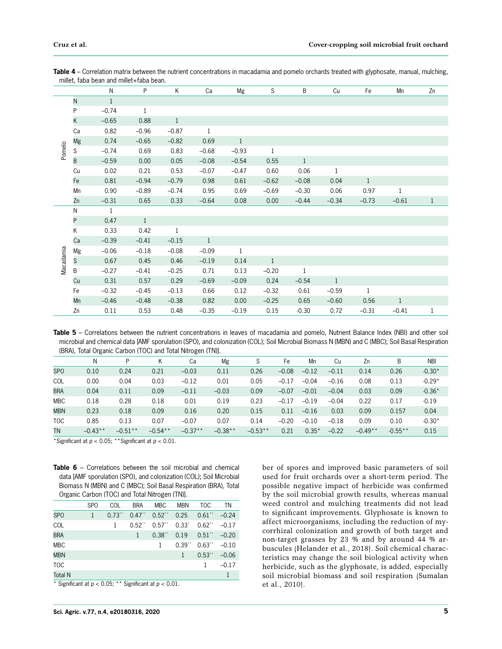|           |                 | ${\sf N}$    | P            | Κ            | Ca           | Mg           | S            | B            | Cu           | Fe           | Mn           | Zn           |
|-----------|-----------------|--------------|--------------|--------------|--------------|--------------|--------------|--------------|--------------|--------------|--------------|--------------|
|           | N               | $\,1$        |              |              |              |              |              |              |              |              |              |              |
|           | P               | $-0.74$      | $\mathbf{1}$ |              |              |              |              |              |              |              |              |              |
|           | K               | $-0.65$      | 0.88         | $\mathbf{1}$ |              |              |              |              |              |              |              |              |
|           | Ca              | 0.82         | $-0.96$      | $-0.87$      | $\mathbf 1$  |              |              |              |              |              |              |              |
|           | Mg              | 0.74         | $-0.65$      | $-0.82$      | 0.69         | $\mathbf{1}$ |              |              |              |              |              |              |
| Pomelo    | ${\mathsf S}$   | $-0.74$      | 0.69         | 0.83         | $-0.68$      | $-0.93$      | $\mathbf{1}$ |              |              |              |              |              |
|           | $\overline{B}$  | $-0.59$      | 0.00         | 0.05         | $-0.08$      | $-0.54$      | 0.55         | $\mathbf{1}$ |              |              |              |              |
|           | Cu              | 0.02         | 0.21         | 0.53         | $-0.07$      | $-0.47$      | 0.60         | 0.06         | $\mathbf{1}$ |              |              |              |
|           | Fe              | 0.81         | $-0.94$      | $-0.79$      | 0.98         | 0.61         | $-0.62$      | $-0.08$      | 0.04         | $\mathbf{1}$ |              |              |
|           | Mn              | 0.90         | $-0.89$      | $-0.74$      | 0.95         | 0.69         | $-0.69$      | $-0.30$      | 0.06         | 0.97         | 1            |              |
|           | Zn              | $-0.31$      | 0.65         | 0.33         | $-0.64$      | 0.08         | 0.00         | $-0.44$      | $-0.34$      | $-0.73$      | $-0.61$      | $\mathbf{1}$ |
|           | ${\sf N}$       | $\mathbf{1}$ |              |              |              |              |              |              |              |              |              |              |
|           | P               | 0.47         | $\mathbf{1}$ |              |              |              |              |              |              |              |              |              |
|           | Κ               | 0.33         | 0.42         | $\,1$        |              |              |              |              |              |              |              |              |
|           | Ca              | $-0.39$      | $-0.41$      | $-0.15$      | $\mathbf{1}$ |              |              |              |              |              |              |              |
|           | Mg              | $-0.06$      | $-0.18$      | $-0.08$      | $-0.09$      | $\mathbf 1$  |              |              |              |              |              |              |
| Macadamia | $S_{\parallel}$ | 0.67         | 0.45         | 0.46         | $-0.19$      | 0.14         | $\mathbf{1}$ |              |              |              |              |              |
|           | $\sf B$         | $-0.27$      | $-0.41$      | $-0.25$      | 0.71         | 0.13         | $-0.20$      | $\mathbf{1}$ |              |              |              |              |
|           | Cu              | 0.31         | 0.57         | 0.29         | $-0.69$      | $-0.09$      | 0.24         | $-0.54$      | $\mathbf{1}$ |              |              |              |
|           | Fe              | $-0.32$      | $-0.45$      | $-0.13$      | 0.66         | 0.12         | $-0.32$      | 0.61         | $-0.59$      | $\mathbf{1}$ |              |              |
|           | Mn              | $-0.46$      | $-0.48$      | $-0.38$      | 0.82         | 0.00         | $-0.25$      | 0.65         | $-0.60$      | 0.56         | $\mathbf{1}$ |              |
|           | Zn              | 0.11         | 0.53         | 0.48         | $-0.35$      | $-0.19$      | 0.15         | $-0.30$      | 0.72         | $-0.31$      | $-0.41$      | $\mathbf{1}$ |

**Table 4** – Correlation matrix between the nutrient concentrations in macadamia and pomelo orchards treated with glyphosate, manual, mulching, millet, faba bean and millet+faba bean.

Table 5 – Correlations between the nutrient concentrations in leaves of macadamia and pomelo, Nutrient Balance Index (NBI) and other soil microbial and chemical data [AMF sporulation (SPO), and colonization (COL); Soil Microbial Biomass N (MBN) and C (MBC); Soil Basal Respiration (BRA), Total Organic Carbon (TOC) and Total Nitrogen (TN)].

|            | Ν         | P         | Κ         | Сa        | Mg        |           | Fe      | Mn      | Cu      | Zn        | B         | <b>NBI</b> |
|------------|-----------|-----------|-----------|-----------|-----------|-----------|---------|---------|---------|-----------|-----------|------------|
| <b>SPO</b> | 0.10      | 0.24      | 0.21      | $-0.03$   | 0.11      | 0.26      | $-0.08$ | $-0.12$ | $-0.11$ | 0.14      | 0.26      | $-0.30*$   |
| <b>COL</b> | 0.00      | 0.04      | 0.03      | $-0.12$   | 0.01      | 0.05      | $-0.17$ | $-0.04$ | $-0.16$ | 0.08      | 0.13      | $-0.29*$   |
| <b>BRA</b> | 0.04      | 0.11      | 0.09      | $-0.11$   | $-0.03$   | 0.09      | $-0.07$ | $-0.01$ | $-0.04$ | 0.03      | 0.09      | $-0.36*$   |
| <b>MBC</b> | 0.18      | 0.28      | 0.18      | 0.01      | 0.19      | 0.23      | $-0.17$ | $-0.19$ | $-0.04$ | 0.22      | 0.17      | $-0.19$    |
| <b>MBN</b> | 0.23      | 0.18      | 0.09      | 0.16      | 0.20      | 0.15      | 0.11    | $-0.16$ | 0.03    | 0.09      | 0.157     | 0.04       |
| <b>TOC</b> | 0.85      | 0.13      | 0.07      | $-0.07$   | 0.07      | 0.14      | $-0.20$ | $-0.10$ | $-0.18$ | 0.09      | 0.10      | $-0.30*$   |
| TN         | $-0.43**$ | $-0.51**$ | $-0.54**$ | $-0.37**$ | $-0.38**$ | $-0.53**$ | 0.21    | $0.35*$ | $-0.22$ | $-0.49**$ | $-0.55**$ | 0.15       |

\*Significant at *p* < 0.05; \*\*Significant at *p* < 0.01.

**Table 6** – Correlations between the soil microbial and chemical data [AMF sporulation (SPO), and colonization (COL); Soil Microbial Biomass N (MBN) and C (MBC); Soil Basal Respiration (BRA), Total Organic Carbon (TOC) and Total Nitrogen (TN)].

|                                 |            | 5.8                              |                |                      |                      |                      |         |
|---------------------------------|------------|----------------------------------|----------------|----------------------|----------------------|----------------------|---------|
|                                 | <b>SPO</b> | COL                              | <b>BRA</b>     | <b>MBC</b>           | <b>MBN</b>           | TOC                  | TN      |
| SP <sub>O</sub>                 | 1          | $0.73$ <sup>**</sup>             | $0.47$ .       | $0.52$ .             | 0.25                 | $0.61$               | $-0.24$ |
| COL                             |            | 1                                | $0.52$ .       | 0.57                 | $0.33^{\circ}$       | $0.62$ <sup>**</sup> | $-0.17$ |
| <b>BRA</b>                      |            |                                  | $\mathbf{1}$   | $0.38$ <sup>**</sup> | 0.19                 | $0.51$               | $-0.20$ |
| <b>MBC</b>                      |            |                                  |                | 1                    | $0.39$ <sup>**</sup> | $0.63$ .             | $-0.10$ |
| <b>MBN</b>                      |            |                                  |                |                      | 1                    | $0.53$ "             | $-0.06$ |
| <b>TOC</b>                      |            |                                  |                |                      |                      | 1                    | $-0.17$ |
| <b>Total N</b>                  |            |                                  |                |                      |                      |                      | 1       |
| $\cdot$ $\sim$<br>$\sim$ $\sim$ | .          | $\sim$ $\sim$ $\sim$<br>$\cdots$ | $\cdot$ $\sim$ | .                    | $\sim$ $\sim$ $\sim$ |                      |         |

Significant at  $p < 0.05$ ; \*\* Significant at  $p < 0.01$ .

ber of spores and improved basic parameters of soil used for fruit orchards over a short-term period. The possible negative impact of herbicide was confirmed by the soil microbial growth results, whereas manual weed control and mulching treatments did not lead to significant improvements. Glyphosate is known to affect microorganisms, including the reduction of mycorrhizal colonization and growth of both target and non-target grasses by 23 % and by around 44 % arbuscules (Helander et al., 2018). Soil chemical characteristics may change the soil biological activity when herbicide, such as the glyphosate, is added, especially soil microbial biomass and soil respiration (Sumalan et al., 2010).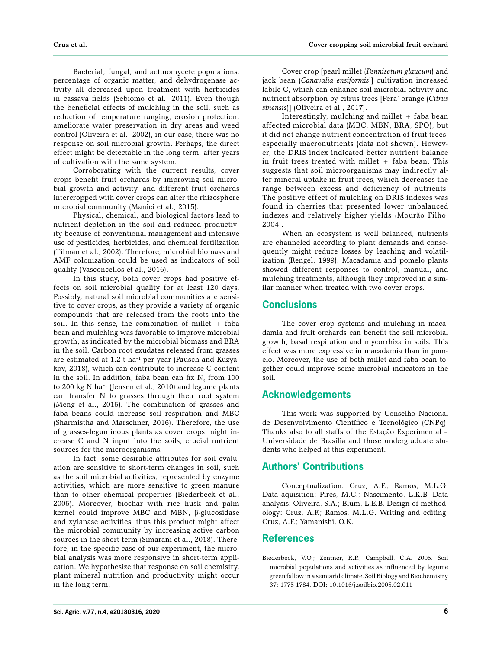Bacterial, fungal, and actinomycete populations, percentage of organic matter, and dehydrogenase activity all decreased upon treatment with herbicides in cassava fields (Sebiomo et al., 2011). Even though the beneficial effects of mulching in the soil, such as reduction of temperature ranging, erosion protection, ameliorate water preservation in dry areas and weed control (Oliveira et al., 2002), in our case, there was no response on soil microbial growth. Perhaps, the direct effect might be detectable in the long term, after years of cultivation with the same system.

Corroborating with the current results, cover crops benefit fruit orchards by improving soil microbial growth and activity, and different fruit orchards intercropped with cover crops can alter the rhizosphere microbial community (Manici et al., 2015).

Physical, chemical, and biological factors lead to nutrient depletion in the soil and reduced productivity because of conventional management and intensive use of pesticides, herbicides, and chemical fertilization (Tilman et al., 2002). Therefore, microbial biomass and AMF colonization could be used as indicators of soil quality (Vasconcellos et al., 2016).

In this study, both cover crops had positive effects on soil microbial quality for at least 120 days. Possibly, natural soil microbial communities are sensitive to cover crops, as they provide a variety of organic compounds that are released from the roots into the soil. In this sense, the combination of millet + faba bean and mulching was favorable to improve microbial growth, as indicated by the microbial biomass and BRA in the soil. Carbon root exudates released from grasses are estimated at 1.2 t ha<sup>-1</sup> per year (Pausch and Kuzyakov, 2018), which can contribute to increase C content in the soil. In addition, faba bean can fix  $N_{2}$  from 100 to 200 kg N ha–1 (Jensen et al., 2010) and legume plants can transfer N to grasses through their root system (Meng et al., 2015). The combination of grasses and faba beans could increase soil respiration and MBC (Sharmistha and Marschner, 2016). Therefore, the use of grasses-leguminous plants as cover crops might increase C and N input into the soils, crucial nutrient sources for the microorganisms.

In fact, some desirable attributes for soil evaluation are sensitive to short-term changes in soil, such as the soil microbial activities, represented by enzyme activities, which are more sensitive to green manure than to other chemical properties (Biederbeck et al., 2005). Moreover, biochar with rice husk and palm kernel could improve MBC and MBN, β-glucosidase and xylanase activities, thus this product might affect the microbial community by increasing active carbon sources in the short-term (Simarani et al., 2018). Therefore, in the specific case of our experiment, the microbial analysis was more responsive in short-term application. We hypothesize that response on soil chemistry, plant mineral nutrition and productivity might occur in the long-term.

Cover crop [pearl millet (*Pennisetum glaucum*) and jack bean (*Canavalia ensiformis*)] cultivation increased labile C, which can enhance soil microbial activity and nutrient absorption by citrus trees [Pera' orange (*Citrus sinensis*)] (Oliveira et al., 2017).

Interestingly, mulching and millet + faba bean affected microbial data (MBC, MBN, BRA, SPO), but it did not change nutrient concentration of fruit trees, especially macronutrients (data not shown). However, the DRIS index indicated better nutrient balance in fruit trees treated with millet + faba bean. This suggests that soil microorganisms may indirectly alter mineral uptake in fruit trees, which decreases the range between excess and deficiency of nutrients. The positive effect of mulching on DRIS indexes was found in cherries that presented lower unbalanced indexes and relatively higher yields (Mourão Filho, 2004).

When an ecosystem is well balanced, nutrients are channeled according to plant demands and consequently might reduce losses by leaching and volatilization (Rengel, 1999). Macadamia and pomelo plants showed different responses to control, manual, and mulching treatments, although they improved in a similar manner when treated with two cover crops.

# **Conclusions**

The cover crop systems and mulching in macadamia and fruit orchards can benefit the soil microbial growth, basal respiration and mycorrhiza in soils. This effect was more expressive in macadamia than in pomelo. Moreover, the use of both millet and faba bean together could improve some microbial indicators in the soil.

# **Acknowledgements**

This work was supported by Conselho Nacional de Desenvolvimento Científico e Tecnológico (CNPq). Thanks also to all staffs of the Estação Experimental – Universidade de Brasília and those undergraduate students who helped at this experiment.

## **Authors' Contributions**

Conceptualization: Cruz, A.F.; Ramos, M.L.G. Data aquisition: Pires, M.C.; Nascimento, L.K.B. Data analysis: Oliveira, S.A.; Blum, L.E.B. Design of methodology: Cruz, A.F.; Ramos, M.L.G. Writing and editing: Cruz, A.F.; Yamanishi, O.K.

## **References**

Biederbeck, V.O.; Zentner, R.P.; Campbell, C.A. 2005. Soil microbial populations and activities as influenced by legume green fallow in a semiarid climate. Soil Biology and Biochemistry 37: 1775-1784. DOI: 10.1016/j.soilbio.2005.02.011